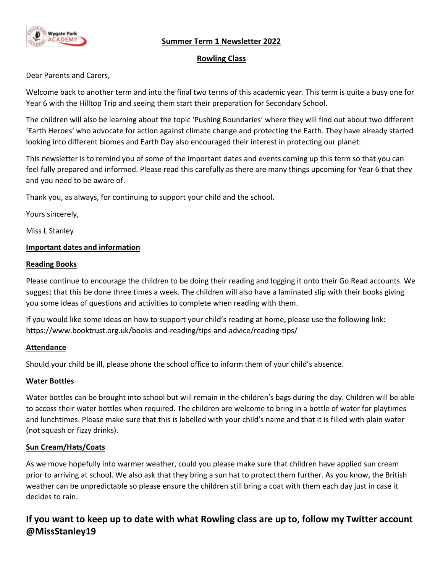## **Summer Term 1 Newsletter 2022**



#### **Rowling Class**

Dear Parents and Carers,

Welcome back to another term and into the final two terms of this academic year. This term is quite a busy one for Year 6 with the Hilltop Trip and seeing them start their preparation for Secondary School.

The children will also be learning about the topic 'Pushing Boundaries' where they will find out about two different 'Earth Heroes' who advocate for action against climate change and protecting the Earth. They have already started looking into different biomes and Earth Day also encouraged their interest in protecting our planet.

This newsletter is to remind you of some of the important dates and events coming up this term so that you can feel fully prepared and informed. Please read this carefully as there are many things upcoming for Year 6 that they and you need to be aware of.

Thank you, as always, for continuing to support your child and the school.

Yours sincerely,

Miss L Stanley

#### **Important dates and information**

#### **Reading Books**

Please continue to encourage the children to be doing their reading and logging it onto their Go Read accounts. We suggest that this be done three times a week. The children will also have a laminated slip with their books giving you some ideas of questions and activities to complete when reading with them.

If you would like some ideas on how to support your child's reading at home, please use the following link: https://www.booktrust.org.uk/books-and-reading/tips-and-advice/reading-tips/

#### **Attendance**

Should your child be ill, please phone the school office to inform them of your child's absence.

#### **Water Bottles**

Water bottles can be brought into school but will remain in the children's bags during the day. Children will be able to access their water bottles when required. The children are welcome to bring in a bottle of water for playtimes and lunchtimes. Please make sure that this is labelled with your child's name and that it is filled with plain water (not squash or fizzy drinks).

## **Sun Cream/Hats/Coats**

As we move hopefully into warmer weather, could you please make sure that children have applied sun cream prior to arriving at school. We also ask that they bring a sun hat to protect them further. As you know, the British weather can be unpredictable so please ensure the children still bring a coat with them each day just in case it decides to rain.

# **If you want to keep up to date with what Rowling class are up to, follow my Twitter account @MissStanley19**